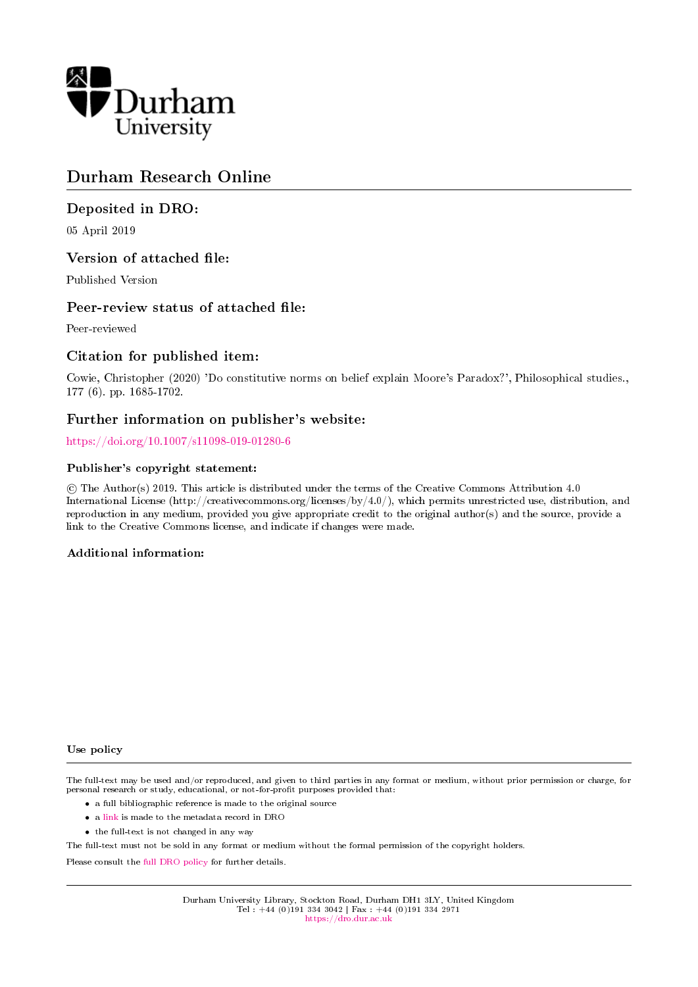

# Durham Research Online

## Deposited in DRO:

05 April 2019

## Version of attached file:

Published Version

## Peer-review status of attached file:

Peer-reviewed

## Citation for published item:

Cowie, Christopher (2020) 'Do constitutive norms on belief explain Moore's Paradox?', Philosophical studies., 177 (6). pp. 1685-1702.

## Further information on publisher's website:

<https://doi.org/10.1007/s11098-019-01280-6>

### Publisher's copyright statement:

 c The Author(s) 2019. This article is distributed under the terms of the Creative Commons Attribution 4.0 International License (http://creativecommons.org/licenses/by/4.0/), which permits unrestricted use, distribution, and reproduction in any medium, provided you give appropriate credit to the original author(s) and the source, provide a link to the Creative Commons license, and indicate if changes were made.

### Additional information:

#### Use policy

The full-text may be used and/or reproduced, and given to third parties in any format or medium, without prior permission or charge, for personal research or study, educational, or not-for-profit purposes provided that:

- a full bibliographic reference is made to the original source
- a [link](http://dro.dur.ac.uk/27584/) is made to the metadata record in DRO
- the full-text is not changed in any way

The full-text must not be sold in any format or medium without the formal permission of the copyright holders.

Please consult the [full DRO policy](https://dro.dur.ac.uk/policies/usepolicy.pdf) for further details.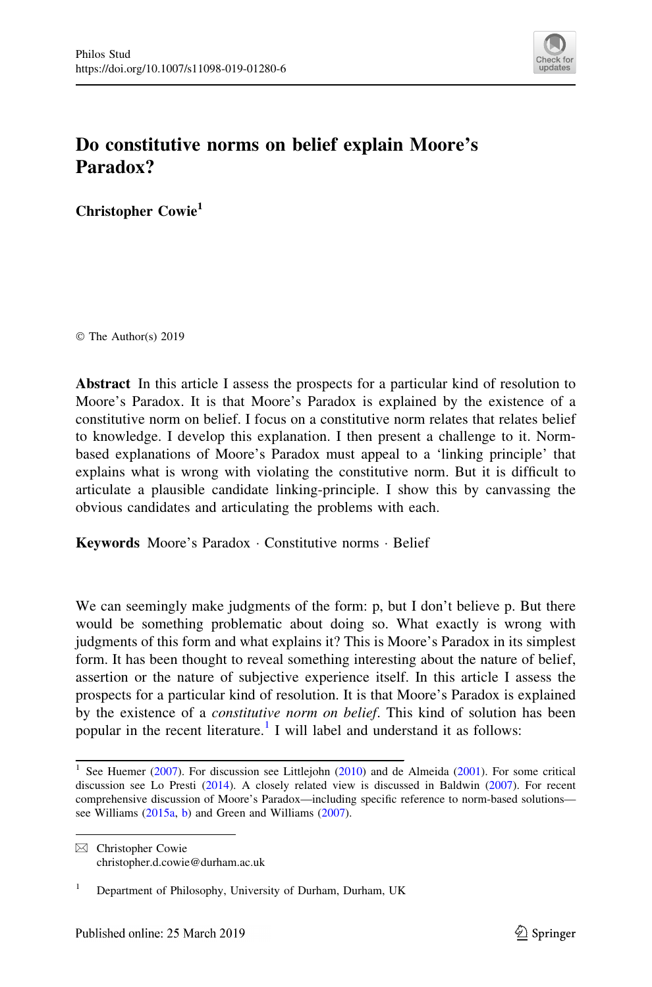

## Do constitutive norms on belief explain Moore's Paradox?

Christopher Cowie<sup>1</sup>

© The Author(s) 2019

Abstract In this article I assess the prospects for a particular kind of resolution to Moore's Paradox. It is that Moore's Paradox is explained by the existence of a constitutive norm on belief. I focus on a constitutive norm relates that relates belief to knowledge. I develop this explanation. I then present a challenge to it. Normbased explanations of Moore's Paradox must appeal to a 'linking principle' that explains what is wrong with violating the constitutive norm. But it is difficult to articulate a plausible candidate linking-principle. I show this by canvassing the obvious candidates and articulating the problems with each.

Keywords Moore's Paradox - Constitutive norms - Belief

We can seemingly make judgments of the form: p, but I don't believe p. But there would be something problematic about doing so. What exactly is wrong with judgments of this form and what explains it? This is Moore's Paradox in its simplest form. It has been thought to reveal something interesting about the nature of belief, assertion or the nature of subjective experience itself. In this article I assess the prospects for a particular kind of resolution. It is that Moore's Paradox is explained by the existence of a *constitutive norm on belief*. This kind of solution has been popular in the recent literature.<sup>1</sup> I will label and understand it as follows:

<sup>&</sup>lt;sup>1</sup> See Huemer ([2007\)](#page-17-0). For discussion see Littlejohn [\(2010](#page-17-0)) and de Almeida [\(2001](#page-17-0)). For some critical discussion see Lo Presti ([2014\)](#page-17-0). A closely related view is discussed in Baldwin ([2007\)](#page-17-0). For recent comprehensive discussion of Moore's Paradox—including specific reference to norm-based solutions see Williams [\(2015a,](#page-18-0) [b\)](#page-18-0) and Green and Williams ([2007\)](#page-17-0).

 $\boxtimes$  Christopher Cowie christopher.d.cowie@durham.ac.uk

<sup>&</sup>lt;sup>1</sup> Department of Philosophy, University of Durham, Durham, UK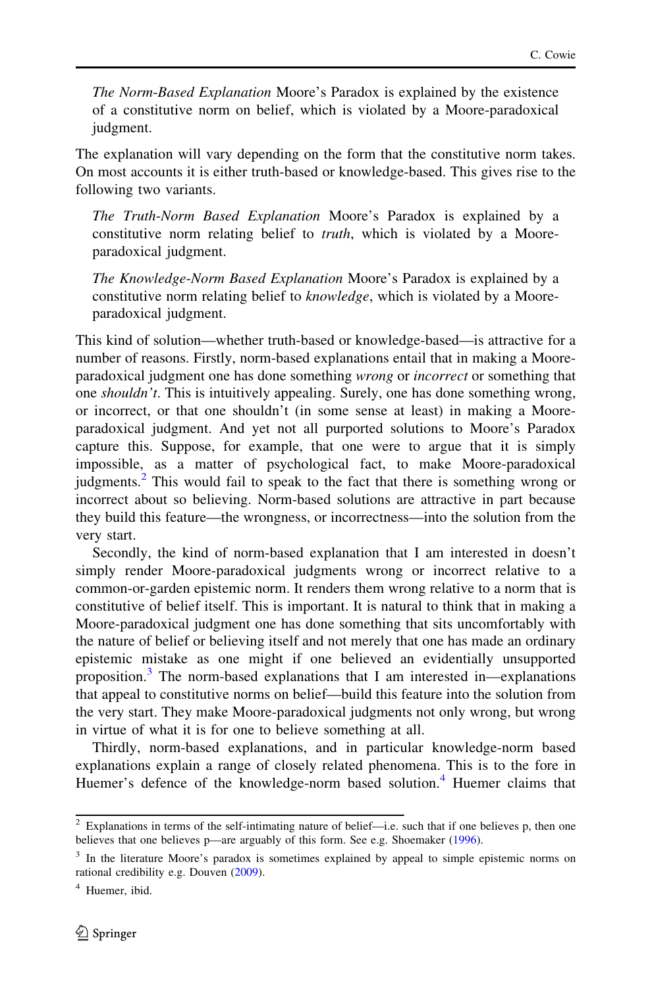The Norm-Based Explanation Moore's Paradox is explained by the existence of a constitutive norm on belief, which is violated by a Moore-paradoxical judgment.

The explanation will vary depending on the form that the constitutive norm takes. On most accounts it is either truth-based or knowledge-based. This gives rise to the following two variants.

The Truth-Norm Based Explanation Moore's Paradox is explained by a constitutive norm relating belief to truth, which is violated by a Mooreparadoxical judgment.

The Knowledge-Norm Based Explanation Moore's Paradox is explained by a constitutive norm relating belief to knowledge, which is violated by a Mooreparadoxical judgment.

This kind of solution—whether truth-based or knowledge-based—is attractive for a number of reasons. Firstly, norm-based explanations entail that in making a Mooreparadoxical judgment one has done something wrong or incorrect or something that one shouldn't. This is intuitively appealing. Surely, one has done something wrong, or incorrect, or that one shouldn't (in some sense at least) in making a Mooreparadoxical judgment. And yet not all purported solutions to Moore's Paradox capture this. Suppose, for example, that one were to argue that it is simply impossible, as a matter of psychological fact, to make Moore-paradoxical judgments.<sup>2</sup> This would fail to speak to the fact that there is something wrong or incorrect about so believing. Norm-based solutions are attractive in part because they build this feature—the wrongness, or incorrectness—into the solution from the very start.

Secondly, the kind of norm-based explanation that I am interested in doesn't simply render Moore-paradoxical judgments wrong or incorrect relative to a common-or-garden epistemic norm. It renders them wrong relative to a norm that is constitutive of belief itself. This is important. It is natural to think that in making a Moore-paradoxical judgment one has done something that sits uncomfortably with the nature of belief or believing itself and not merely that one has made an ordinary epistemic mistake as one might if one believed an evidentially unsupported proposition.<sup>3</sup> The norm-based explanations that I am interested in—explanations that appeal to constitutive norms on belief—build this feature into the solution from the very start. They make Moore-paradoxical judgments not only wrong, but wrong in virtue of what it is for one to believe something at all.

Thirdly, norm-based explanations, and in particular knowledge-norm based explanations explain a range of closely related phenomena. This is to the fore in Huemer's defence of the knowledge-norm based solution.<sup>4</sup> Huemer claims that

 $2$  Explanations in terms of the self-intimating nature of belief—i.e. such that if one believes p, then one believes that one believes p—are arguably of this form. See e.g. Shoemaker [\(1996](#page-18-0)).

<sup>&</sup>lt;sup>3</sup> In the literature Moore's paradox is sometimes explained by appeal to simple epistemic norms on rational credibility e.g. Douven [\(2009](#page-17-0)).

<sup>&</sup>lt;sup>4</sup> Huemer, ibid.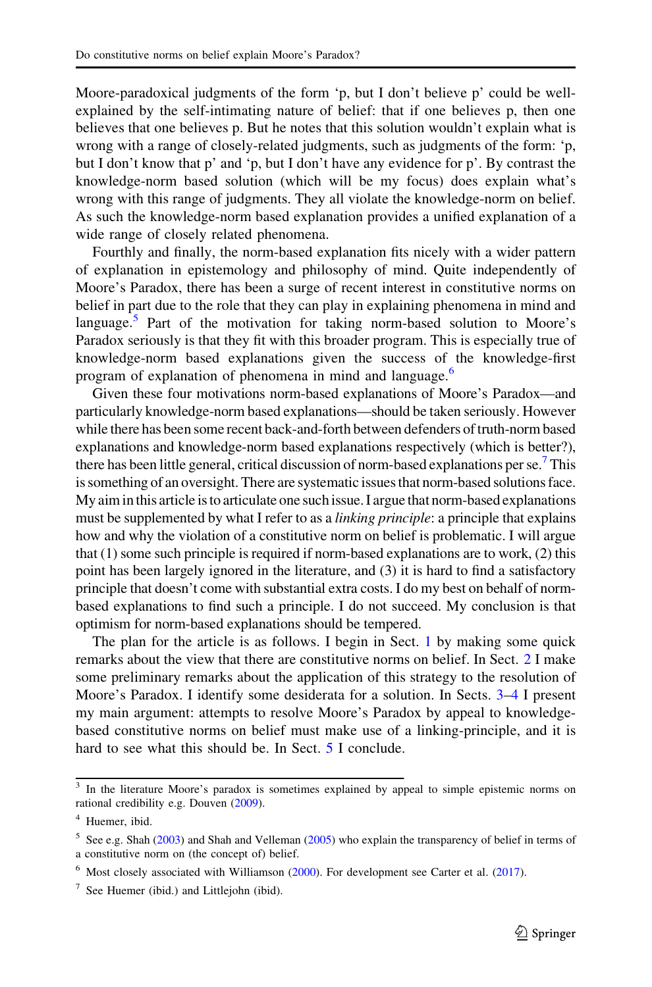Moore-paradoxical judgments of the form 'p, but I don't believe p' could be wellexplained by the self-intimating nature of belief: that if one believes p, then one believes that one believes p. But he notes that this solution wouldn't explain what is wrong with a range of closely-related judgments, such as judgments of the form: 'p, but I don't know that p' and 'p, but I don't have any evidence for p'. By contrast the knowledge-norm based solution (which will be my focus) does explain what's wrong with this range of judgments. They all violate the knowledge-norm on belief. As such the knowledge-norm based explanation provides a unified explanation of a wide range of closely related phenomena.

Fourthly and finally, the norm-based explanation fits nicely with a wider pattern of explanation in epistemology and philosophy of mind. Quite independently of Moore's Paradox, there has been a surge of recent interest in constitutive norms on belief in part due to the role that they can play in explaining phenomena in mind and language.<sup>5</sup> Part of the motivation for taking norm-based solution to Moore's Paradox seriously is that they fit with this broader program. This is especially true of knowledge-norm based explanations given the success of the knowledge-first program of explanation of phenomena in mind and language.<sup>6</sup>

Given these four motivations norm-based explanations of Moore's Paradox—and particularly knowledge-norm based explanations—should be taken seriously. However while there has been some recent back-and-forth between defenders of truth-norm based explanations and knowledge-norm based explanations respectively (which is better?), there has been little general, critical discussion of norm-based explanations per se.<sup>7</sup> This is something of an oversight. There are systematic issues that norm-based solutions face. My aim in this article is to articulate one such issue. I argue that norm-based explanations must be supplemented by what I refer to as a *linking principle*: a principle that explains how and why the violation of a constitutive norm on belief is problematic. I will argue that (1) some such principle is required if norm-based explanations are to work, (2) this point has been largely ignored in the literature, and (3) it is hard to find a satisfactory principle that doesn't come with substantial extra costs. I do my best on behalf of normbased explanations to find such a principle. I do not succeed. My conclusion is that optimism for norm-based explanations should be tempered.

The plan for the article is as follows. I begin in Sect. [1](#page-4-0) by making some quick remarks about the view that there are constitutive norms on belief. In Sect. [2](#page-5-0) I make some preliminary remarks about the application of this strategy to the resolution of Moore's Paradox. I identify some desiderata for a solution. In Sects. [3–](#page-7-0)[4](#page-13-0) I present my main argument: attempts to resolve Moore's Paradox by appeal to knowledgebased constitutive norms on belief must make use of a linking-principle, and it is hard to see what this should be. In Sect. [5](#page-16-0) I conclude.

<sup>&</sup>lt;sup>3</sup> In the literature Moore's paradox is sometimes explained by appeal to simple epistemic norms on rational credibility e.g. Douven [\(2009](#page-17-0)).

<sup>&</sup>lt;sup>4</sup> Huemer, ibid.

<sup>5</sup> See e.g. Shah ([2003\)](#page-18-0) and Shah and Velleman ([2005\)](#page-18-0) who explain the transparency of belief in terms of a constitutive norm on (the concept of) belief.

 $6$  Most closely associated with Williamson ([2000\)](#page-18-0). For development see Carter et al. ([2017\)](#page-17-0).

 $7$  See Huemer (ibid.) and Littlejohn (ibid).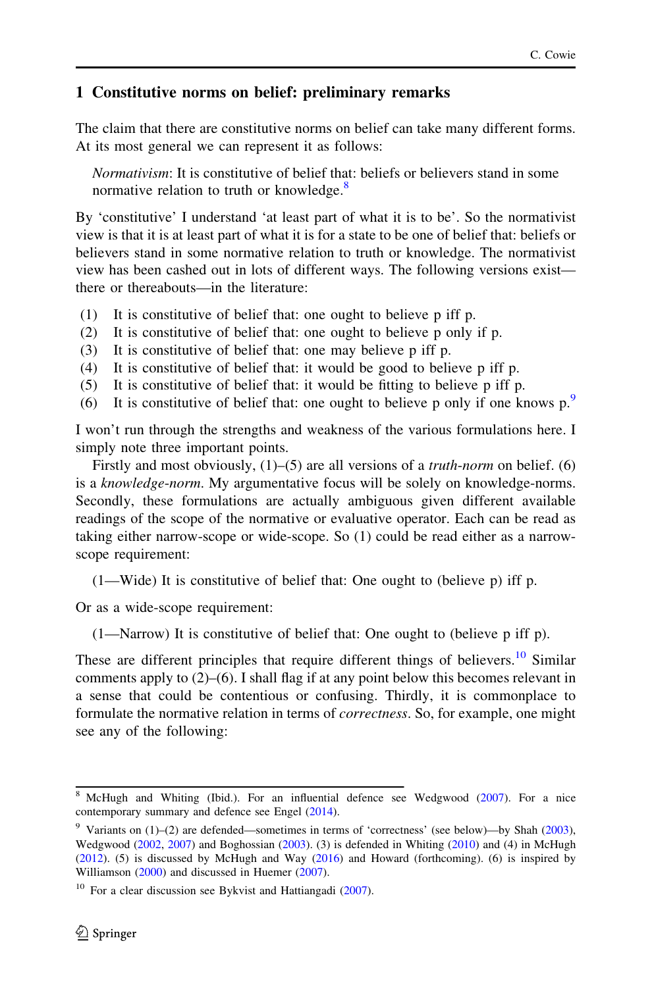### <span id="page-4-0"></span>1 Constitutive norms on belief: preliminary remarks

The claim that there are constitutive norms on belief can take many different forms. At its most general we can represent it as follows:

Normativism: It is constitutive of belief that: beliefs or believers stand in some normative relation to truth or knowledge.<sup>8</sup>

By 'constitutive' I understand 'at least part of what it is to be'. So the normativist view is that it is at least part of what it is for a state to be one of belief that: beliefs or believers stand in some normative relation to truth or knowledge. The normativist view has been cashed out in lots of different ways. The following versions exist there or thereabouts—in the literature:

- (1) It is constitutive of belief that: one ought to believe p iff p.
- (2) It is constitutive of belief that: one ought to believe p only if p.
- (3) It is constitutive of belief that: one may believe p iff p.
- (4) It is constitutive of belief that: it would be good to believe p iff p.
- (5) It is constitutive of belief that: it would be fitting to believe p iff p.
- (6) It is constitutive of belief that: one ought to believe p only if one knows  $p^9$ .

I won't run through the strengths and weakness of the various formulations here. I simply note three important points.

Firstly and most obviously,  $(1)$ – $(5)$  are all versions of a *truth-norm* on belief. (6) is a knowledge-norm. My argumentative focus will be solely on knowledge-norms. Secondly, these formulations are actually ambiguous given different available readings of the scope of the normative or evaluative operator. Each can be read as taking either narrow-scope or wide-scope. So (1) could be read either as a narrowscope requirement:

(1—Wide) It is constitutive of belief that: One ought to (believe p) iff p.

Or as a wide-scope requirement:

(1—Narrow) It is constitutive of belief that: One ought to (believe p iff p).

These are different principles that require different things of believers.<sup>10</sup> Similar comments apply to (2)–(6). I shall flag if at any point below this becomes relevant in a sense that could be contentious or confusing. Thirdly, it is commonplace to formulate the normative relation in terms of correctness. So, for example, one might see any of the following:

 $8$  McHugh and Whiting (Ibid.). For an influential defence see Wedgwood [\(2007\)](#page-18-0). For a nice contemporary summary and defence see Engel ([2014\)](#page-17-0).

<sup>&</sup>lt;sup>9</sup> Variants on  $(1)$ – $(2)$  are defended—sometimes in terms of 'correctness' (see below)—by Shah  $(2003)$  $(2003)$ , Wedgwood ([2002,](#page-18-0) [2007](#page-18-0)) and Boghossian [\(2003](#page-17-0)). (3) is defended in Whiting ([2010\)](#page-18-0) and (4) in McHugh  $(2012)$  $(2012)$ . (5) is discussed by McHugh and Way  $(2016)$  and Howard (forthcoming). (6) is inspired by Williamson ([2000](#page-18-0)) and discussed in Huemer ([2007\)](#page-17-0).

 $10$  For a clear discussion see Bykvist and Hattiangadi ([2007\)](#page-17-0).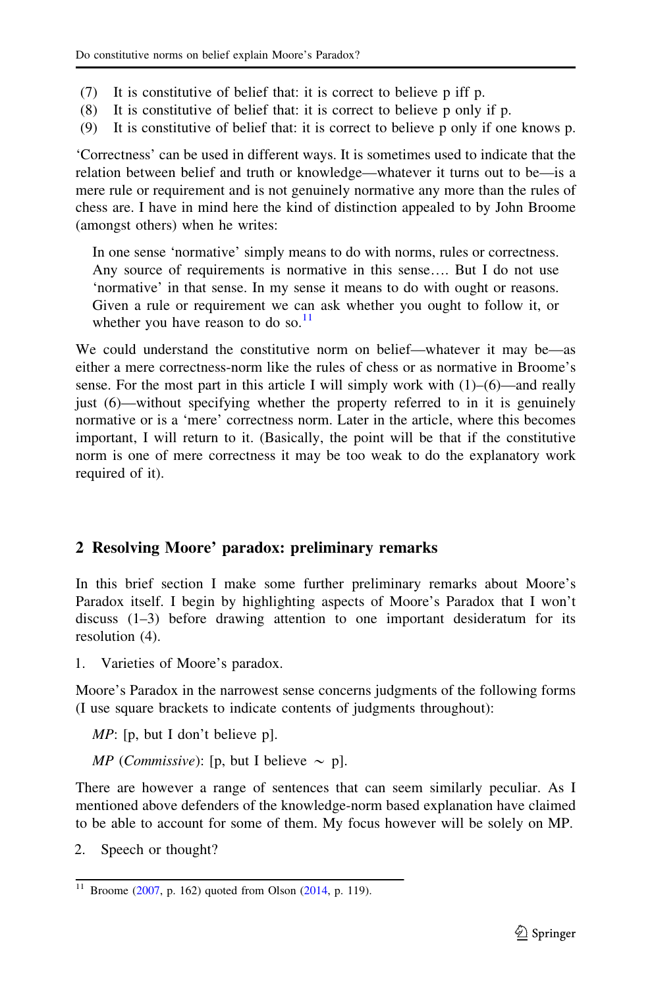- <span id="page-5-0"></span>(7) It is constitutive of belief that: it is correct to believe p iff p.
- (8) It is constitutive of belief that: it is correct to believe p only if p.
- (9) It is constitutive of belief that: it is correct to believe p only if one knows p.

'Correctness' can be used in different ways. It is sometimes used to indicate that the relation between belief and truth or knowledge—whatever it turns out to be—is a mere rule or requirement and is not genuinely normative any more than the rules of chess are. I have in mind here the kind of distinction appealed to by John Broome (amongst others) when he writes:

In one sense 'normative' simply means to do with norms, rules or correctness. Any source of requirements is normative in this sense…. But I do not use 'normative' in that sense. In my sense it means to do with ought or reasons. Given a rule or requirement we can ask whether you ought to follow it, or whether you have reason to do so. $11$ 

We could understand the constitutive norm on belief—whatever it may be—as either a mere correctness-norm like the rules of chess or as normative in Broome's sense. For the most part in this article I will simply work with (1)–(6)—and really just (6)—without specifying whether the property referred to in it is genuinely normative or is a 'mere' correctness norm. Later in the article, where this becomes important, I will return to it. (Basically, the point will be that if the constitutive norm is one of mere correctness it may be too weak to do the explanatory work required of it).

### 2 Resolving Moore' paradox: preliminary remarks

In this brief section I make some further preliminary remarks about Moore's Paradox itself. I begin by highlighting aspects of Moore's Paradox that I won't discuss (1–3) before drawing attention to one important desideratum for its resolution (4).

1. Varieties of Moore's paradox.

Moore's Paradox in the narrowest sense concerns judgments of the following forms (I use square brackets to indicate contents of judgments throughout):

- MP: [p, but I don't believe p].
- *MP* (*Commissive*): [p, but I believe  $\sim$  p].

There are however a range of sentences that can seem similarly peculiar. As I mentioned above defenders of the knowledge-norm based explanation have claimed to be able to account for some of them. My focus however will be solely on MP.

2. Speech or thought?

 $\frac{11}{11}$  Broome ([2007,](#page-17-0) p. 162) quoted from Olson [\(2014,](#page-18-0) p. 119).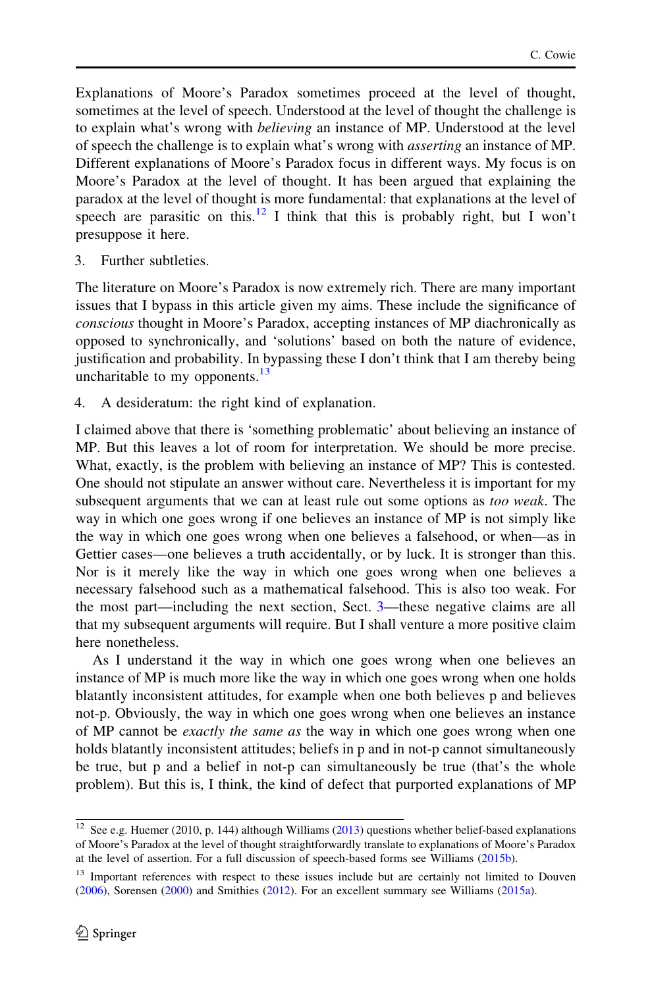Explanations of Moore's Paradox sometimes proceed at the level of thought, sometimes at the level of speech. Understood at the level of thought the challenge is to explain what's wrong with *believing* an instance of MP. Understood at the level of speech the challenge is to explain what's wrong with asserting an instance of MP. Different explanations of Moore's Paradox focus in different ways. My focus is on Moore's Paradox at the level of thought. It has been argued that explaining the paradox at the level of thought is more fundamental: that explanations at the level of speech are parasitic on this.<sup>12</sup> I think that this is probably right, but I won't presuppose it here.

3. Further subtleties.

The literature on Moore's Paradox is now extremely rich. There are many important issues that I bypass in this article given my aims. These include the significance of conscious thought in Moore's Paradox, accepting instances of MP diachronically as opposed to synchronically, and 'solutions' based on both the nature of evidence, justification and probability. In bypassing these I don't think that I am thereby being uncharitable to my opponents. $13$ 

4. A desideratum: the right kind of explanation.

I claimed above that there is 'something problematic' about believing an instance of MP. But this leaves a lot of room for interpretation. We should be more precise. What, exactly, is the problem with believing an instance of MP? This is contested. One should not stipulate an answer without care. Nevertheless it is important for my subsequent arguments that we can at least rule out some options as too weak. The way in which one goes wrong if one believes an instance of MP is not simply like the way in which one goes wrong when one believes a falsehood, or when—as in Gettier cases—one believes a truth accidentally, or by luck. It is stronger than this. Nor is it merely like the way in which one goes wrong when one believes a necessary falsehood such as a mathematical falsehood. This is also too weak. For the most part—including the next section, Sect. [3—](#page-7-0)these negative claims are all that my subsequent arguments will require. But I shall venture a more positive claim here nonetheless.

As I understand it the way in which one goes wrong when one believes an instance of MP is much more like the way in which one goes wrong when one holds blatantly inconsistent attitudes, for example when one both believes p and believes not-p. Obviously, the way in which one goes wrong when one believes an instance of MP cannot be *exactly the same as* the way in which one goes wrong when one holds blatantly inconsistent attitudes; beliefs in p and in not-p cannot simultaneously be true, but p and a belief in not-p can simultaneously be true (that's the whole problem). But this is, I think, the kind of defect that purported explanations of MP

<sup>&</sup>lt;sup>12</sup> See e.g. Huemer (2010, p. 144) although Williams ([2013\)](#page-18-0) questions whether belief-based explanations of Moore's Paradox at the level of thought straightforwardly translate to explanations of Moore's Paradox at the level of assertion. For a full discussion of speech-based forms see Williams ([2015b\)](#page-18-0).

<sup>&</sup>lt;sup>13</sup> Important references with respect to these issues include but are certainly not limited to Douven ([2006\)](#page-17-0), Sorensen [\(2000](#page-18-0)) and Smithies ([2012\)](#page-18-0). For an excellent summary see Williams [\(2015a\)](#page-18-0).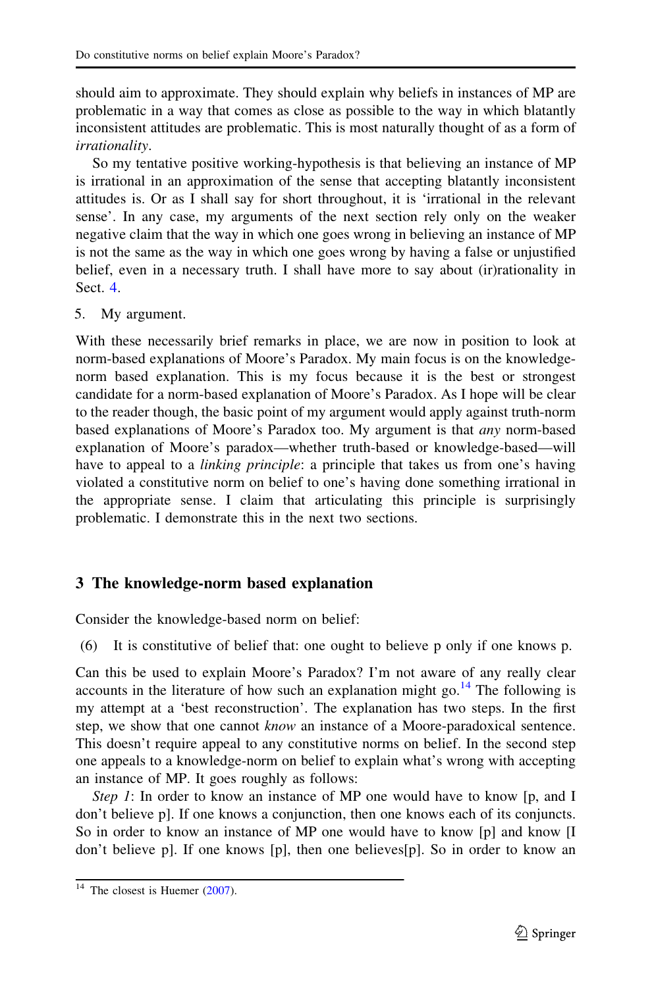<span id="page-7-0"></span>should aim to approximate. They should explain why beliefs in instances of MP are problematic in a way that comes as close as possible to the way in which blatantly inconsistent attitudes are problematic. This is most naturally thought of as a form of irrationality.

So my tentative positive working-hypothesis is that believing an instance of MP is irrational in an approximation of the sense that accepting blatantly inconsistent attitudes is. Or as I shall say for short throughout, it is 'irrational in the relevant sense'. In any case, my arguments of the next section rely only on the weaker negative claim that the way in which one goes wrong in believing an instance of MP is not the same as the way in which one goes wrong by having a false or unjustified belief, even in a necessary truth. I shall have more to say about (ir)rationality in Sect. [4](#page-13-0).

5. My argument.

With these necessarily brief remarks in place, we are now in position to look at norm-based explanations of Moore's Paradox. My main focus is on the knowledgenorm based explanation. This is my focus because it is the best or strongest candidate for a norm-based explanation of Moore's Paradox. As I hope will be clear to the reader though, the basic point of my argument would apply against truth-norm based explanations of Moore's Paradox too. My argument is that any norm-based explanation of Moore's paradox—whether truth-based or knowledge-based—will have to appeal to a *linking principle*: a principle that takes us from one's having violated a constitutive norm on belief to one's having done something irrational in the appropriate sense. I claim that articulating this principle is surprisingly problematic. I demonstrate this in the next two sections.

### 3 The knowledge-norm based explanation

Consider the knowledge-based norm on belief:

(6) It is constitutive of belief that: one ought to believe p only if one knows p.

Can this be used to explain Moore's Paradox? I'm not aware of any really clear accounts in the literature of how such an explanation might go.<sup>14</sup> The following is my attempt at a 'best reconstruction'. The explanation has two steps. In the first step, we show that one cannot know an instance of a Moore-paradoxical sentence. This doesn't require appeal to any constitutive norms on belief. In the second step one appeals to a knowledge-norm on belief to explain what's wrong with accepting an instance of MP. It goes roughly as follows:

Step 1: In order to know an instance of MP one would have to know [p, and I don't believe p]. If one knows a conjunction, then one knows each of its conjuncts. So in order to know an instance of MP one would have to know [p] and know [I don't believe p]. If one knows [p], then one believes[p]. So in order to know an

 $\frac{14}{14}$  The closest is Huemer [\(2007](#page-17-0)).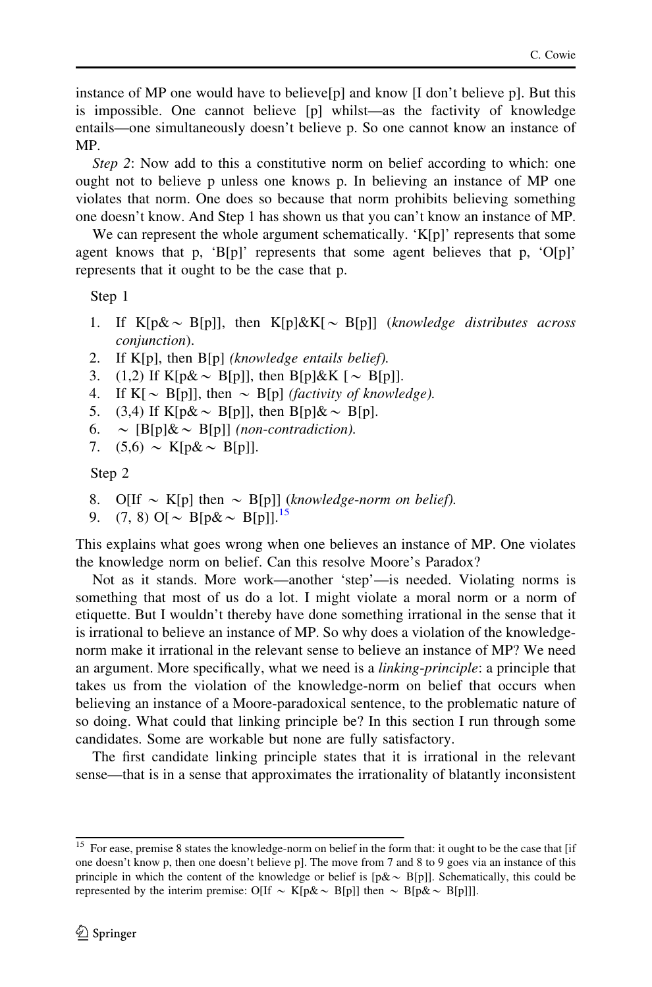instance of MP one would have to believe[p] and know [I don't believe p]. But this is impossible. One cannot believe [p] whilst—as the factivity of knowledge entails—one simultaneously doesn't believe p. So one cannot know an instance of MP.

Step 2: Now add to this a constitutive norm on belief according to which: one ought not to believe p unless one knows p. In believing an instance of MP one violates that norm. One does so because that norm prohibits believing something one doesn't know. And Step 1 has shown us that you can't know an instance of MP.

We can represent the whole argument schematically. 'K[p]' represents that some agent knows that p, ' $B[p]$ ' represents that some agent believes that p, ' $O[p]$ ' represents that it ought to be the case that p.

Step 1

- 1. If K[p&  $\sim$  B[p]], then K[p]&K[  $\sim$  B[p]] (knowledge distributes across conjunction).
- 2. If K[p], then B[p] (knowledge entails belief).
- 3. (1,2) If K[p&  $\sim$  B[p]], then B[p]&K [ $\sim$  B[p]].
- 4. If  $K[\sim B[p]]$ , then  $\sim B[p]$  (factivity of knowledge).
- 5. (3,4) If K[p&  $\sim$  B[p]], then B[p]&  $\sim$  B[p].
- 6.  $\sim$  [B[p]&  $\sim$  B[p]] (non-contradiction).
- 7.  $(5,6) \sim K[p\& \sim B[p]].$

Step 2

- 8. O[If  $\sim$  K[p] then  $\sim$  B[p]] (knowledge-norm on belief).
- 9. (7, 8) O[ $\sim$  B[p& $\sim$  B[p]].<sup>15</sup>

This explains what goes wrong when one believes an instance of MP. One violates the knowledge norm on belief. Can this resolve Moore's Paradox?

Not as it stands. More work—another 'step'—is needed. Violating norms is something that most of us do a lot. I might violate a moral norm or a norm of etiquette. But I wouldn't thereby have done something irrational in the sense that it is irrational to believe an instance of MP. So why does a violation of the knowledgenorm make it irrational in the relevant sense to believe an instance of MP? We need an argument. More specifically, what we need is a *linking-principle*: a principle that takes us from the violation of the knowledge-norm on belief that occurs when believing an instance of a Moore-paradoxical sentence, to the problematic nature of so doing. What could that linking principle be? In this section I run through some candidates. Some are workable but none are fully satisfactory.

The first candidate linking principle states that it is irrational in the relevant sense—that is in a sense that approximates the irrationality of blatantly inconsistent

<sup>&</sup>lt;sup>15</sup> For ease, premise 8 states the knowledge-norm on belief in the form that: it ought to be the case that [if one doesn't know p, then one doesn't believe p]. The move from 7 and 8 to 9 goes via an instance of this principle in which the content of the knowledge or belief is  $[p< B[p]]$ . Schematically, this could be represented by the interim premise: O[If  $\sim$  K[p& $\sim$  B[p]] then  $\sim$  B[p& $\sim$  B[p]]].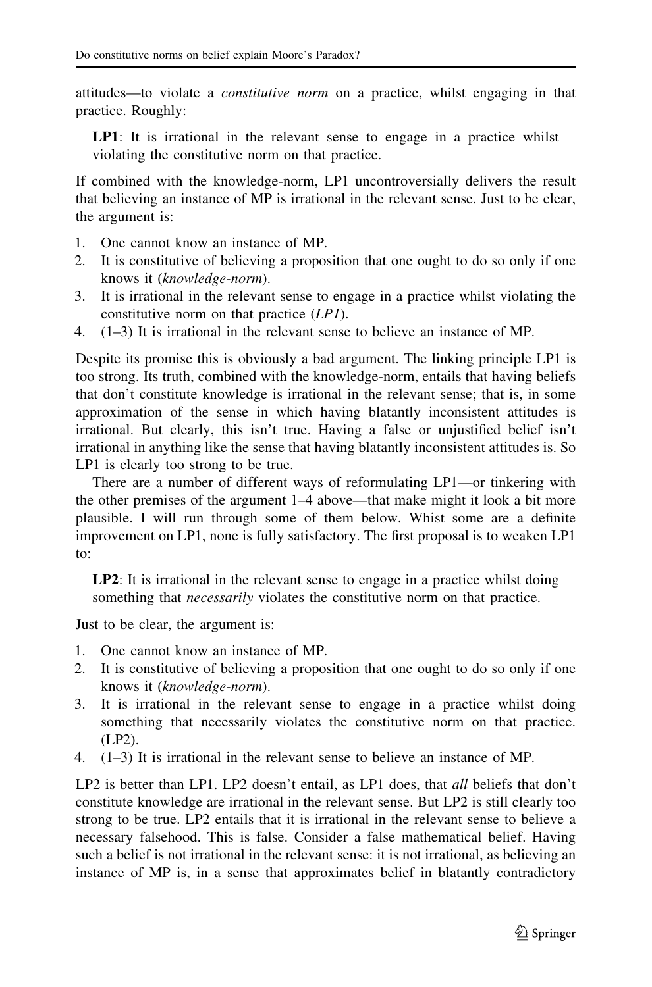attitudes—to violate a constitutive norm on a practice, whilst engaging in that practice. Roughly:

LP1: It is irrational in the relevant sense to engage in a practice whilst violating the constitutive norm on that practice.

If combined with the knowledge-norm, LP1 uncontroversially delivers the result that believing an instance of MP is irrational in the relevant sense. Just to be clear, the argument is:

- 1. One cannot know an instance of MP.
- 2. It is constitutive of believing a proposition that one ought to do so only if one knows it (knowledge-norm).
- 3. It is irrational in the relevant sense to engage in a practice whilst violating the constitutive norm on that practice (LP1).
- 4. (1–3) It is irrational in the relevant sense to believe an instance of MP.

Despite its promise this is obviously a bad argument. The linking principle LP1 is too strong. Its truth, combined with the knowledge-norm, entails that having beliefs that don't constitute knowledge is irrational in the relevant sense; that is, in some approximation of the sense in which having blatantly inconsistent attitudes is irrational. But clearly, this isn't true. Having a false or unjustified belief isn't irrational in anything like the sense that having blatantly inconsistent attitudes is. So LP1 is clearly too strong to be true.

There are a number of different ways of reformulating LP1—or tinkering with the other premises of the argument 1–4 above—that make might it look a bit more plausible. I will run through some of them below. Whist some are a definite improvement on LP1, none is fully satisfactory. The first proposal is to weaken LP1 to:

LP2: It is irrational in the relevant sense to engage in a practice whilst doing something that necessarily violates the constitutive norm on that practice.

Just to be clear, the argument is:

- 1. One cannot know an instance of MP.
- 2. It is constitutive of believing a proposition that one ought to do so only if one knows it (knowledge-norm).
- 3. It is irrational in the relevant sense to engage in a practice whilst doing something that necessarily violates the constitutive norm on that practice. (LP2).
- 4. (1–3) It is irrational in the relevant sense to believe an instance of MP.

LP2 is better than LP1. LP2 doesn't entail, as LP1 does, that *all* beliefs that don't constitute knowledge are irrational in the relevant sense. But LP2 is still clearly too strong to be true. LP2 entails that it is irrational in the relevant sense to believe a necessary falsehood. This is false. Consider a false mathematical belief. Having such a belief is not irrational in the relevant sense: it is not irrational, as believing an instance of MP is, in a sense that approximates belief in blatantly contradictory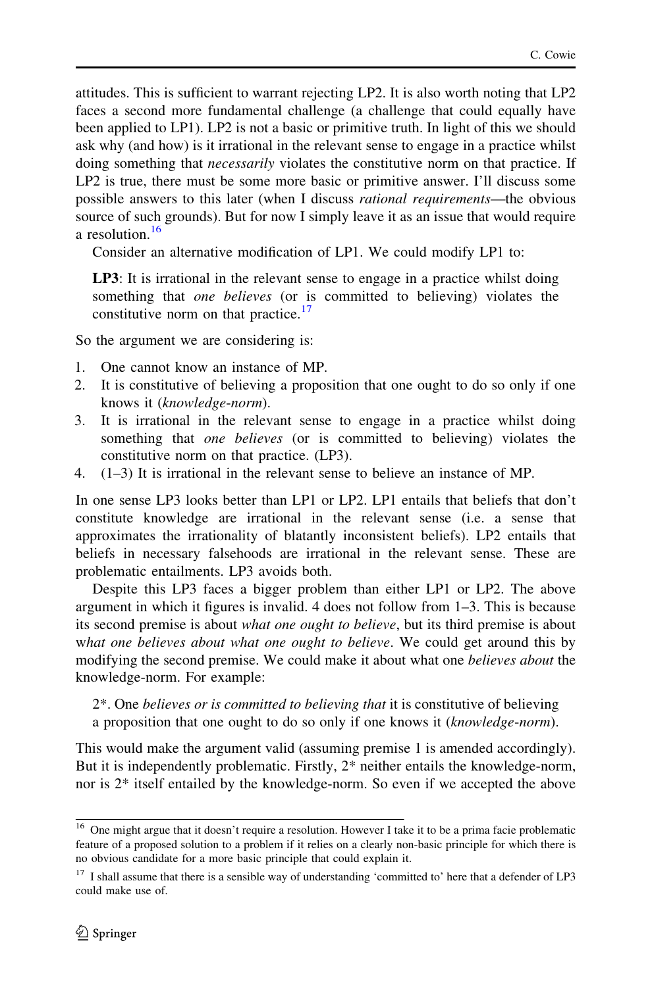attitudes. This is sufficient to warrant rejecting LP2. It is also worth noting that LP2 faces a second more fundamental challenge (a challenge that could equally have been applied to LP1). LP2 is not a basic or primitive truth. In light of this we should ask why (and how) is it irrational in the relevant sense to engage in a practice whilst doing something that *necessarily* violates the constitutive norm on that practice. If LP2 is true, there must be some more basic or primitive answer. I'll discuss some possible answers to this later (when I discuss rational requirements—the obvious source of such grounds). But for now I simply leave it as an issue that would require a resolution.<sup>16</sup>

Consider an alternative modification of LP1. We could modify LP1 to:

LP3: It is irrational in the relevant sense to engage in a practice whilst doing something that one believes (or is committed to believing) violates the constitutive norm on that practice. $17$ 

So the argument we are considering is:

- 1. One cannot know an instance of MP.
- 2. It is constitutive of believing a proposition that one ought to do so only if one knows it (knowledge-norm).
- 3. It is irrational in the relevant sense to engage in a practice whilst doing something that one believes (or is committed to believing) violates the constitutive norm on that practice. (LP3).
- 4. (1–3) It is irrational in the relevant sense to believe an instance of MP.

In one sense LP3 looks better than LP1 or LP2. LP1 entails that beliefs that don't constitute knowledge are irrational in the relevant sense (i.e. a sense that approximates the irrationality of blatantly inconsistent beliefs). LP2 entails that beliefs in necessary falsehoods are irrational in the relevant sense. These are problematic entailments. LP3 avoids both.

Despite this LP3 faces a bigger problem than either LP1 or LP2. The above argument in which it figures is invalid. 4 does not follow from 1–3. This is because its second premise is about *what one ought to believe*, but its third premise is about what one believes about what one ought to believe. We could get around this by modifying the second premise. We could make it about what one *believes about* the knowledge-norm. For example:

 $2^*$ . One *believes or is committed to believing that it is constitutive of believing* a proposition that one ought to do so only if one knows it (knowledge-norm).

This would make the argument valid (assuming premise 1 is amended accordingly). But it is independently problematic. Firstly, 2\* neither entails the knowledge-norm, nor is 2\* itself entailed by the knowledge-norm. So even if we accepted the above

<sup>&</sup>lt;sup>16</sup> One might argue that it doesn't require a resolution. However I take it to be a prima facie problematic feature of a proposed solution to a problem if it relies on a clearly non-basic principle for which there is no obvious candidate for a more basic principle that could explain it.

 $17$  I shall assume that there is a sensible way of understanding 'committed to' here that a defender of LP3 could make use of.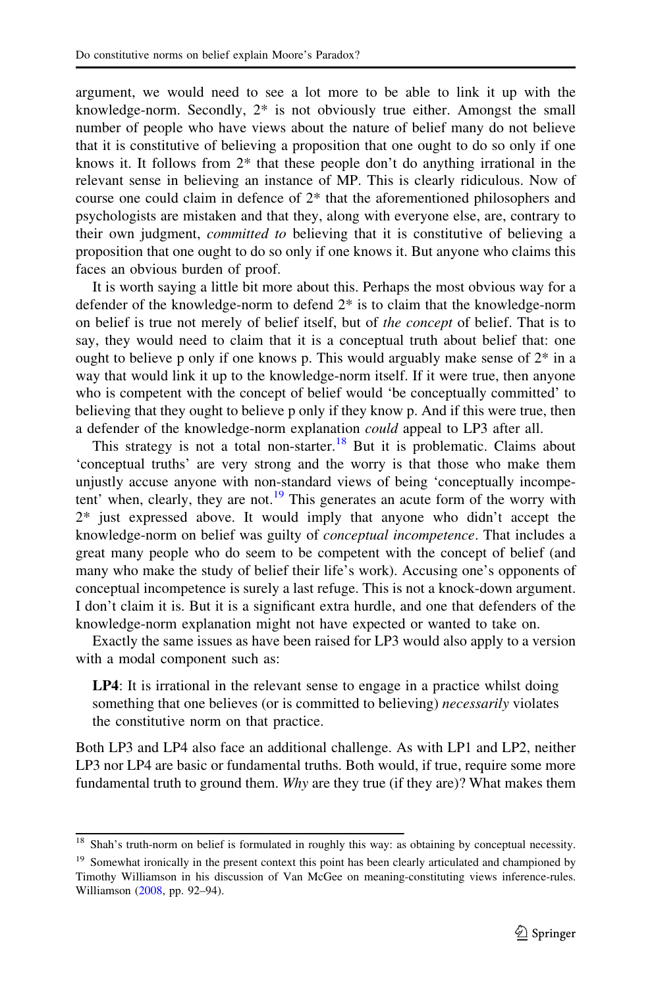argument, we would need to see a lot more to be able to link it up with the knowledge-norm. Secondly, 2\* is not obviously true either. Amongst the small number of people who have views about the nature of belief many do not believe that it is constitutive of believing a proposition that one ought to do so only if one knows it. It follows from  $2^*$  that these people don't do anything irrational in the relevant sense in believing an instance of MP. This is clearly ridiculous. Now of course one could claim in defence of 2\* that the aforementioned philosophers and psychologists are mistaken and that they, along with everyone else, are, contrary to their own judgment, *committed to* believing that it is constitutive of believing a proposition that one ought to do so only if one knows it. But anyone who claims this faces an obvious burden of proof.

It is worth saying a little bit more about this. Perhaps the most obvious way for a defender of the knowledge-norm to defend 2\* is to claim that the knowledge-norm on belief is true not merely of belief itself, but of the concept of belief. That is to say, they would need to claim that it is a conceptual truth about belief that: one ought to believe p only if one knows p. This would arguably make sense of  $2^*$  in a way that would link it up to the knowledge-norm itself. If it were true, then anyone who is competent with the concept of belief would 'be conceptually committed' to believing that they ought to believe p only if they know p. And if this were true, then a defender of the knowledge-norm explanation could appeal to LP3 after all.

This strategy is not a total non-starter.<sup>18</sup> But it is problematic. Claims about 'conceptual truths' are very strong and the worry is that those who make them unjustly accuse anyone with non-standard views of being 'conceptually incompetent' when, clearly, they are not.<sup>19</sup> This generates an acute form of the worry with  $2^*$  just expressed above. It would imply that anyone who didn't accept the knowledge-norm on belief was guilty of conceptual incompetence. That includes a great many people who do seem to be competent with the concept of belief (and many who make the study of belief their life's work). Accusing one's opponents of conceptual incompetence is surely a last refuge. This is not a knock-down argument. I don't claim it is. But it is a significant extra hurdle, and one that defenders of the knowledge-norm explanation might not have expected or wanted to take on.

Exactly the same issues as have been raised for LP3 would also apply to a version with a modal component such as:

LP4: It is irrational in the relevant sense to engage in a practice whilst doing something that one believes (or is committed to believing) necessarily violates the constitutive norm on that practice.

Both LP3 and LP4 also face an additional challenge. As with LP1 and LP2, neither LP3 nor LP4 are basic or fundamental truths. Both would, if true, require some more fundamental truth to ground them. Why are they true (if they are)? What makes them

<sup>&</sup>lt;sup>18</sup> Shah's truth-norm on belief is formulated in roughly this way: as obtaining by conceptual necessity.

<sup>&</sup>lt;sup>19</sup> Somewhat ironically in the present context this point has been clearly articulated and championed by Timothy Williamson in his discussion of Van McGee on meaning-constituting views inference-rules. Williamson ([2008](#page-18-0), pp. 92–94).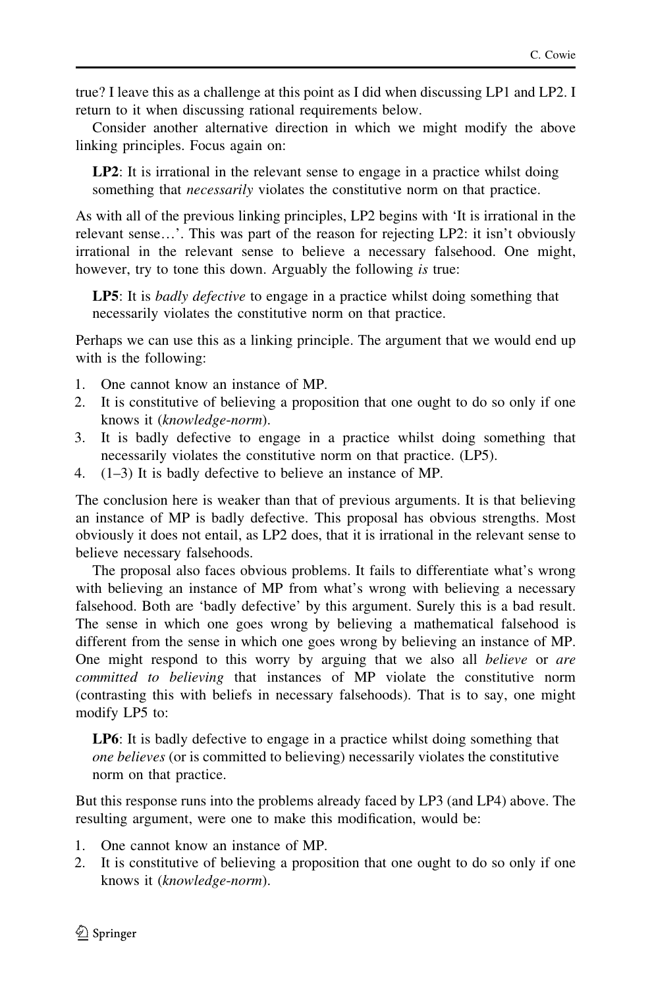true? I leave this as a challenge at this point as I did when discussing LP1 and LP2. I return to it when discussing rational requirements below.

Consider another alternative direction in which we might modify the above linking principles. Focus again on:

LP2: It is irrational in the relevant sense to engage in a practice whilst doing something that *necessarily* violates the constitutive norm on that practice.

As with all of the previous linking principles, LP2 begins with 'It is irrational in the relevant sense…'. This was part of the reason for rejecting LP2: it isn't obviously irrational in the relevant sense to believe a necessary falsehood. One might, however, try to tone this down. Arguably the following is true:

LP5: It is *badly defective* to engage in a practice whilst doing something that necessarily violates the constitutive norm on that practice.

Perhaps we can use this as a linking principle. The argument that we would end up with is the following:

- 1. One cannot know an instance of MP.
- 2. It is constitutive of believing a proposition that one ought to do so only if one knows it (knowledge-norm).
- 3. It is badly defective to engage in a practice whilst doing something that necessarily violates the constitutive norm on that practice. (LP5).
- 4. (1–3) It is badly defective to believe an instance of MP.

The conclusion here is weaker than that of previous arguments. It is that believing an instance of MP is badly defective. This proposal has obvious strengths. Most obviously it does not entail, as LP2 does, that it is irrational in the relevant sense to believe necessary falsehoods.

The proposal also faces obvious problems. It fails to differentiate what's wrong with believing an instance of MP from what's wrong with believing a necessary falsehood. Both are 'badly defective' by this argument. Surely this is a bad result. The sense in which one goes wrong by believing a mathematical falsehood is different from the sense in which one goes wrong by believing an instance of MP. One might respond to this worry by arguing that we also all *believe* or are committed to believing that instances of MP violate the constitutive norm (contrasting this with beliefs in necessary falsehoods). That is to say, one might modify LP5 to:

LP6: It is badly defective to engage in a practice whilst doing something that one believes (or is committed to believing) necessarily violates the constitutive norm on that practice.

But this response runs into the problems already faced by LP3 (and LP4) above. The resulting argument, were one to make this modification, would be:

- 1. One cannot know an instance of MP.
- 2. It is constitutive of believing a proposition that one ought to do so only if one knows it (knowledge-norm).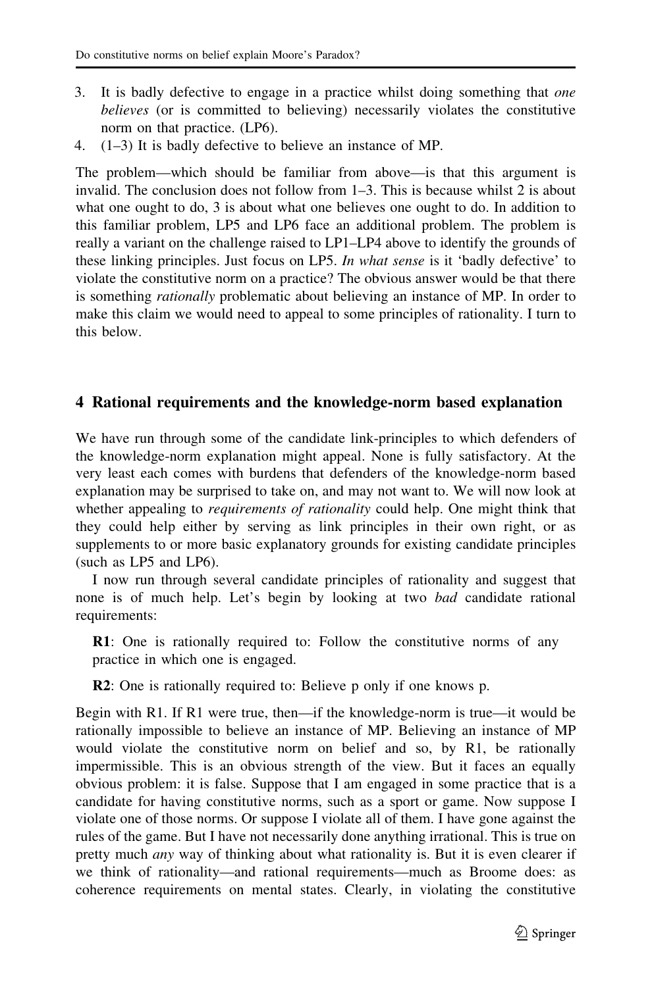- <span id="page-13-0"></span>3. It is badly defective to engage in a practice whilst doing something that one believes (or is committed to believing) necessarily violates the constitutive norm on that practice. (LP6).
- 4. (1–3) It is badly defective to believe an instance of MP.

The problem—which should be familiar from above—is that this argument is invalid. The conclusion does not follow from 1–3. This is because whilst 2 is about what one ought to do, 3 is about what one believes one ought to do. In addition to this familiar problem, LP5 and LP6 face an additional problem. The problem is really a variant on the challenge raised to LP1–LP4 above to identify the grounds of these linking principles. Just focus on LP5. In what sense is it 'badly defective' to violate the constitutive norm on a practice? The obvious answer would be that there is something rationally problematic about believing an instance of MP. In order to make this claim we would need to appeal to some principles of rationality. I turn to this below.

### 4 Rational requirements and the knowledge-norm based explanation

We have run through some of the candidate link-principles to which defenders of the knowledge-norm explanation might appeal. None is fully satisfactory. At the very least each comes with burdens that defenders of the knowledge-norm based explanation may be surprised to take on, and may not want to. We will now look at whether appealing to *requirements of rationality* could help. One might think that they could help either by serving as link principles in their own right, or as supplements to or more basic explanatory grounds for existing candidate principles (such as LP5 and LP6).

I now run through several candidate principles of rationality and suggest that none is of much help. Let's begin by looking at two bad candidate rational requirements:

R1: One is rationally required to: Follow the constitutive norms of any practice in which one is engaged.

R2: One is rationally required to: Believe p only if one knows p.

Begin with R1. If R1 were true, then—if the knowledge-norm is true—it would be rationally impossible to believe an instance of MP. Believing an instance of MP would violate the constitutive norm on belief and so, by R1, be rationally impermissible. This is an obvious strength of the view. But it faces an equally obvious problem: it is false. Suppose that I am engaged in some practice that is a candidate for having constitutive norms, such as a sport or game. Now suppose I violate one of those norms. Or suppose I violate all of them. I have gone against the rules of the game. But I have not necessarily done anything irrational. This is true on pretty much *any* way of thinking about what rationality is. But it is even clearer if we think of rationality—and rational requirements—much as Broome does: as coherence requirements on mental states. Clearly, in violating the constitutive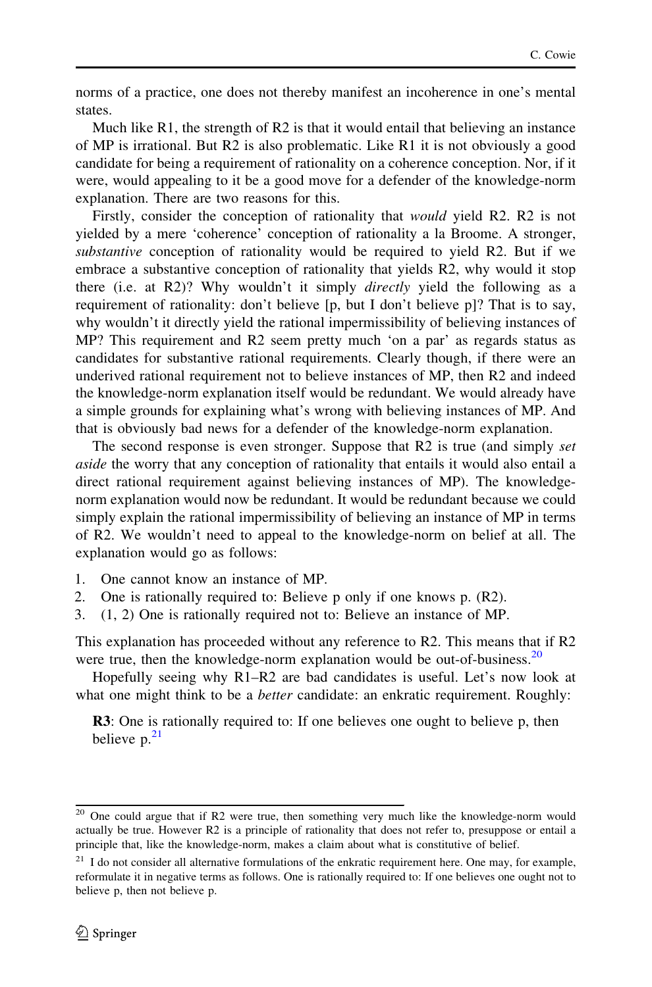norms of a practice, one does not thereby manifest an incoherence in one's mental states.

Much like R1, the strength of R2 is that it would entail that believing an instance of MP is irrational. But R2 is also problematic. Like R1 it is not obviously a good candidate for being a requirement of rationality on a coherence conception. Nor, if it were, would appealing to it be a good move for a defender of the knowledge-norm explanation. There are two reasons for this.

Firstly, consider the conception of rationality that would yield R2. R2 is not yielded by a mere 'coherence' conception of rationality a la Broome. A stronger, substantive conception of rationality would be required to yield R2. But if we embrace a substantive conception of rationality that yields R2, why would it stop there (i.e. at R2)? Why wouldn't it simply *directly* yield the following as a requirement of rationality: don't believe [p, but I don't believe p]? That is to say, why wouldn't it directly yield the rational impermissibility of believing instances of MP? This requirement and R2 seem pretty much 'on a par' as regards status as candidates for substantive rational requirements. Clearly though, if there were an underived rational requirement not to believe instances of MP, then R2 and indeed the knowledge-norm explanation itself would be redundant. We would already have a simple grounds for explaining what's wrong with believing instances of MP. And that is obviously bad news for a defender of the knowledge-norm explanation.

The second response is even stronger. Suppose that R2 is true (and simply *set*) aside the worry that any conception of rationality that entails it would also entail a direct rational requirement against believing instances of MP). The knowledgenorm explanation would now be redundant. It would be redundant because we could simply explain the rational impermissibility of believing an instance of MP in terms of R2. We wouldn't need to appeal to the knowledge-norm on belief at all. The explanation would go as follows:

- 1. One cannot know an instance of MP.
- 2. One is rationally required to: Believe p only if one knows p. (R2).
- 3. (1, 2) One is rationally required not to: Believe an instance of MP.

This explanation has proceeded without any reference to R2. This means that if R2 were true, then the knowledge-norm explanation would be out-of-business.<sup>20</sup>

Hopefully seeing why R1–R2 are bad candidates is useful. Let's now look at what one might think to be a *better* candidate: an enkratic requirement. Roughly:

R3: One is rationally required to: If one believes one ought to believe p, then believe  $p^{21}$ 

 $20$  One could argue that if R2 were true, then something very much like the knowledge-norm would actually be true. However R2 is a principle of rationality that does not refer to, presuppose or entail a principle that, like the knowledge-norm, makes a claim about what is constitutive of belief.

<sup>&</sup>lt;sup>21</sup> I do not consider all alternative formulations of the enkratic requirement here. One may, for example, reformulate it in negative terms as follows. One is rationally required to: If one believes one ought not to believe p, then not believe p.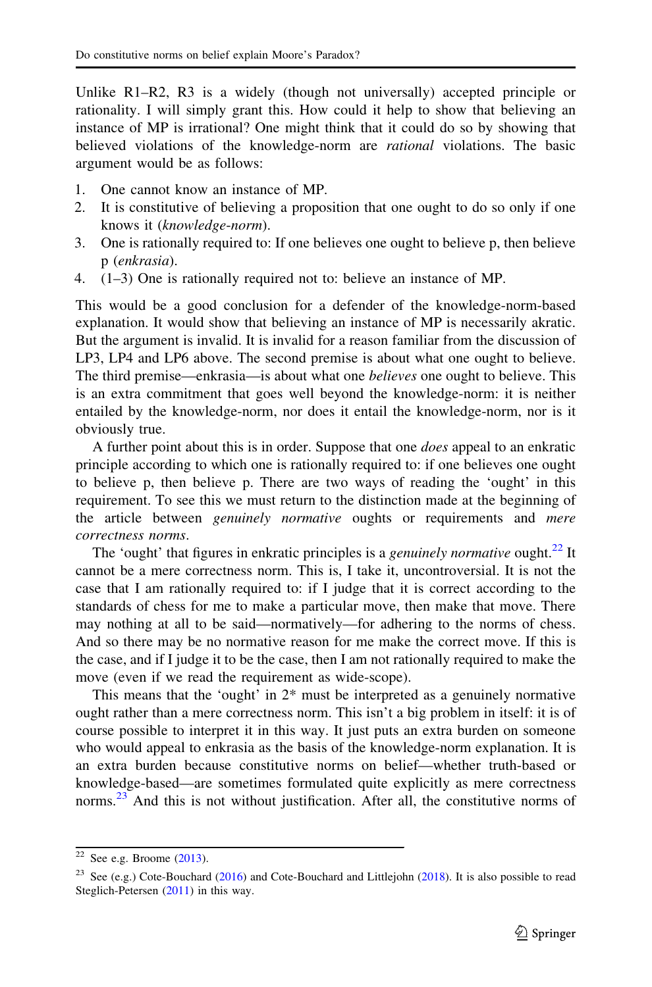Unlike R1–R2, R3 is a widely (though not universally) accepted principle or rationality. I will simply grant this. How could it help to show that believing an instance of MP is irrational? One might think that it could do so by showing that believed violations of the knowledge-norm are *rational* violations. The basic argument would be as follows:

- 1. One cannot know an instance of MP.
- 2. It is constitutive of believing a proposition that one ought to do so only if one knows it (knowledge-norm).
- 3. One is rationally required to: If one believes one ought to believe p, then believe p (enkrasia).
- 4. (1–3) One is rationally required not to: believe an instance of MP.

This would be a good conclusion for a defender of the knowledge-norm-based explanation. It would show that believing an instance of MP is necessarily akratic. But the argument is invalid. It is invalid for a reason familiar from the discussion of LP3, LP4 and LP6 above. The second premise is about what one ought to believe. The third premise—enkrasia—is about what one believes one ought to believe. This is an extra commitment that goes well beyond the knowledge-norm: it is neither entailed by the knowledge-norm, nor does it entail the knowledge-norm, nor is it obviously true.

A further point about this is in order. Suppose that one does appeal to an enkratic principle according to which one is rationally required to: if one believes one ought to believe p, then believe p. There are two ways of reading the 'ought' in this requirement. To see this we must return to the distinction made at the beginning of the article between genuinely normative oughts or requirements and mere correctness norms.

The 'ought' that figures in enkratic principles is a *genuinely normative* ought.<sup>22</sup> It cannot be a mere correctness norm. This is, I take it, uncontroversial. It is not the case that I am rationally required to: if I judge that it is correct according to the standards of chess for me to make a particular move, then make that move. There may nothing at all to be said—normatively—for adhering to the norms of chess. And so there may be no normative reason for me make the correct move. If this is the case, and if I judge it to be the case, then I am not rationally required to make the move (even if we read the requirement as wide-scope).

This means that the 'ought' in 2\* must be interpreted as a genuinely normative ought rather than a mere correctness norm. This isn't a big problem in itself: it is of course possible to interpret it in this way. It just puts an extra burden on someone who would appeal to enkrasia as the basis of the knowledge-norm explanation. It is an extra burden because constitutive norms on belief—whether truth-based or knowledge-based—are sometimes formulated quite explicitly as mere correctness norms. $^{23}$  And this is not without justification. After all, the constitutive norms of

 $22$  See e.g. Broome [\(2013](#page-17-0)).

<sup>&</sup>lt;sup>23</sup> See (e.g.) Cote-Bouchard ([2016\)](#page-17-0) and Cote-Bouchard and Littlejohn [\(2018](#page-17-0)). It is also possible to read Steglich-Petersen [\(2011](#page-18-0)) in this way.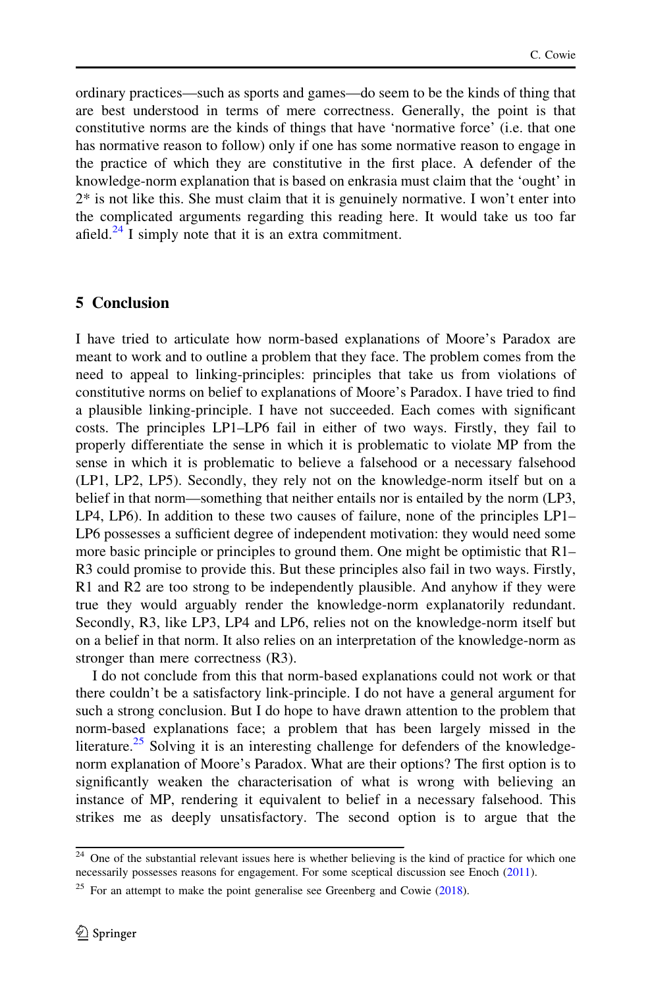<span id="page-16-0"></span>ordinary practices—such as sports and games—do seem to be the kinds of thing that are best understood in terms of mere correctness. Generally, the point is that constitutive norms are the kinds of things that have 'normative force' (i.e. that one has normative reason to follow) only if one has some normative reason to engage in the practice of which they are constitutive in the first place. A defender of the knowledge-norm explanation that is based on enkrasia must claim that the 'ought' in 2\* is not like this. She must claim that it is genuinely normative. I won't enter into the complicated arguments regarding this reading here. It would take us too far afield. $^{24}$  I simply note that it is an extra commitment.

#### 5 Conclusion

I have tried to articulate how norm-based explanations of Moore's Paradox are meant to work and to outline a problem that they face. The problem comes from the need to appeal to linking-principles: principles that take us from violations of constitutive norms on belief to explanations of Moore's Paradox. I have tried to find a plausible linking-principle. I have not succeeded. Each comes with significant costs. The principles LP1–LP6 fail in either of two ways. Firstly, they fail to properly differentiate the sense in which it is problematic to violate MP from the sense in which it is problematic to believe a falsehood or a necessary falsehood (LP1, LP2, LP5). Secondly, they rely not on the knowledge-norm itself but on a belief in that norm—something that neither entails nor is entailed by the norm (LP3, LP4, LP6). In addition to these two causes of failure, none of the principles LP1– LP6 possesses a sufficient degree of independent motivation: they would need some more basic principle or principles to ground them. One might be optimistic that R1– R3 could promise to provide this. But these principles also fail in two ways. Firstly, R1 and R2 are too strong to be independently plausible. And anyhow if they were true they would arguably render the knowledge-norm explanatorily redundant. Secondly, R3, like LP3, LP4 and LP6, relies not on the knowledge-norm itself but on a belief in that norm. It also relies on an interpretation of the knowledge-norm as stronger than mere correctness (R3).

I do not conclude from this that norm-based explanations could not work or that there couldn't be a satisfactory link-principle. I do not have a general argument for such a strong conclusion. But I do hope to have drawn attention to the problem that norm-based explanations face; a problem that has been largely missed in the literature.<sup>25</sup> Solving it is an interesting challenge for defenders of the knowledgenorm explanation of Moore's Paradox. What are their options? The first option is to significantly weaken the characterisation of what is wrong with believing an instance of MP, rendering it equivalent to belief in a necessary falsehood. This strikes me as deeply unsatisfactory. The second option is to argue that the

<sup>&</sup>lt;sup>24</sup> One of the substantial relevant issues here is whether believing is the kind of practice for which one necessarily possesses reasons for engagement. For some sceptical discussion see Enoch ([2011\)](#page-17-0).

 $25$  For an attempt to make the point generalise see Greenberg and Cowie [\(2018](#page-17-0)).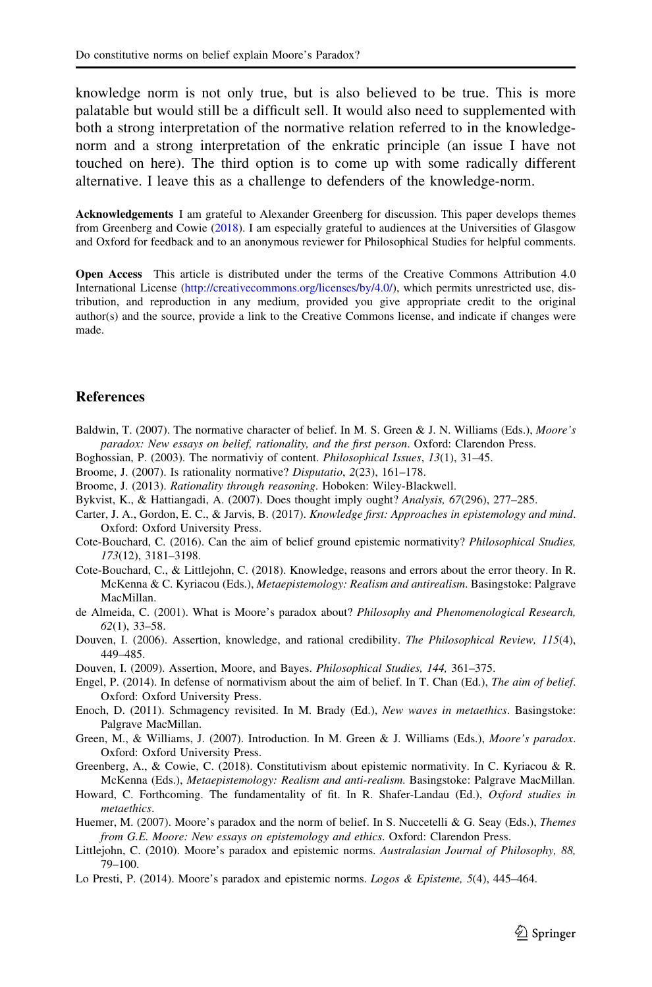<span id="page-17-0"></span>knowledge norm is not only true, but is also believed to be true. This is more palatable but would still be a difficult sell. It would also need to supplemented with both a strong interpretation of the normative relation referred to in the knowledgenorm and a strong interpretation of the enkratic principle (an issue I have not touched on here). The third option is to come up with some radically different alternative. I leave this as a challenge to defenders of the knowledge-norm.

Acknowledgements I am grateful to Alexander Greenberg for discussion. This paper develops themes from Greenberg and Cowie (2018). I am especially grateful to audiences at the Universities of Glasgow and Oxford for feedback and to an anonymous reviewer for Philosophical Studies for helpful comments.

Open Access This article is distributed under the terms of the Creative Commons Attribution 4.0 International License ([http://creativecommons.org/licenses/by/4.0/\)](http://creativecommons.org/licenses/by/4.0/), which permits unrestricted use, distribution, and reproduction in any medium, provided you give appropriate credit to the original author(s) and the source, provide a link to the Creative Commons license, and indicate if changes were made.

#### **References**

- Baldwin, T. (2007). The normative character of belief. In M. S. Green & J. N. Williams (Eds.), Moore's paradox: New essays on belief, rationality, and the first person. Oxford: Clarendon Press.
- Boghossian, P. (2003). The normativiy of content. Philosophical Issues, 13(1), 31–45.
- Broome, J. (2007). Is rationality normative? Disputatio, 2(23), 161–178.
- Broome, J. (2013). Rationality through reasoning. Hoboken: Wiley-Blackwell.
- Bykvist, K., & Hattiangadi, A. (2007). Does thought imply ought? Analysis, 67(296), 277–285.
- Carter, J. A., Gordon, E. C., & Jarvis, B. (2017). Knowledge first: Approaches in epistemology and mind. Oxford: Oxford University Press.
- Cote-Bouchard, C. (2016). Can the aim of belief ground epistemic normativity? Philosophical Studies, 173(12), 3181–3198.
- Cote-Bouchard, C., & Littlejohn, C. (2018). Knowledge, reasons and errors about the error theory. In R. McKenna & C. Kyriacou (Eds.), Metaepistemology: Realism and antirealism. Basingstoke: Palgrave MacMillan.
- de Almeida, C. (2001). What is Moore's paradox about? Philosophy and Phenomenological Research, 62(1), 33–58.
- Douven, I. (2006). Assertion, knowledge, and rational credibility. The Philosophical Review, 115(4), 449–485.
- Douven, I. (2009). Assertion, Moore, and Bayes. Philosophical Studies, 144, 361–375.
- Engel, P. (2014). In defense of normativism about the aim of belief. In T. Chan (Ed.), The aim of belief. Oxford: Oxford University Press.
- Enoch, D. (2011). Schmagency revisited. In M. Brady (Ed.), New waves in metaethics. Basingstoke: Palgrave MacMillan.
- Green, M., & Williams, J. (2007). Introduction. In M. Green & J. Williams (Eds.), Moore's paradox. Oxford: Oxford University Press.
- Greenberg, A., & Cowie, C. (2018). Constitutivism about epistemic normativity. In C. Kyriacou & R. McKenna (Eds.), Metaepistemology: Realism and anti-realism. Basingstoke: Palgrave MacMillan.
- Howard, C. Forthcoming. The fundamentality of fit. In R. Shafer-Landau (Ed.), Oxford studies in metaethics.
- Huemer, M. (2007). Moore's paradox and the norm of belief. In S. Nuccetelli & G. Seay (Eds.), Themes from G.E. Moore: New essays on epistemology and ethics. Oxford: Clarendon Press.
- Littlejohn, C. (2010). Moore's paradox and epistemic norms. Australasian Journal of Philosophy, 88, 79–100.
- Lo Presti, P. (2014). Moore's paradox and epistemic norms. Logos & Episteme, 5(4), 445-464.